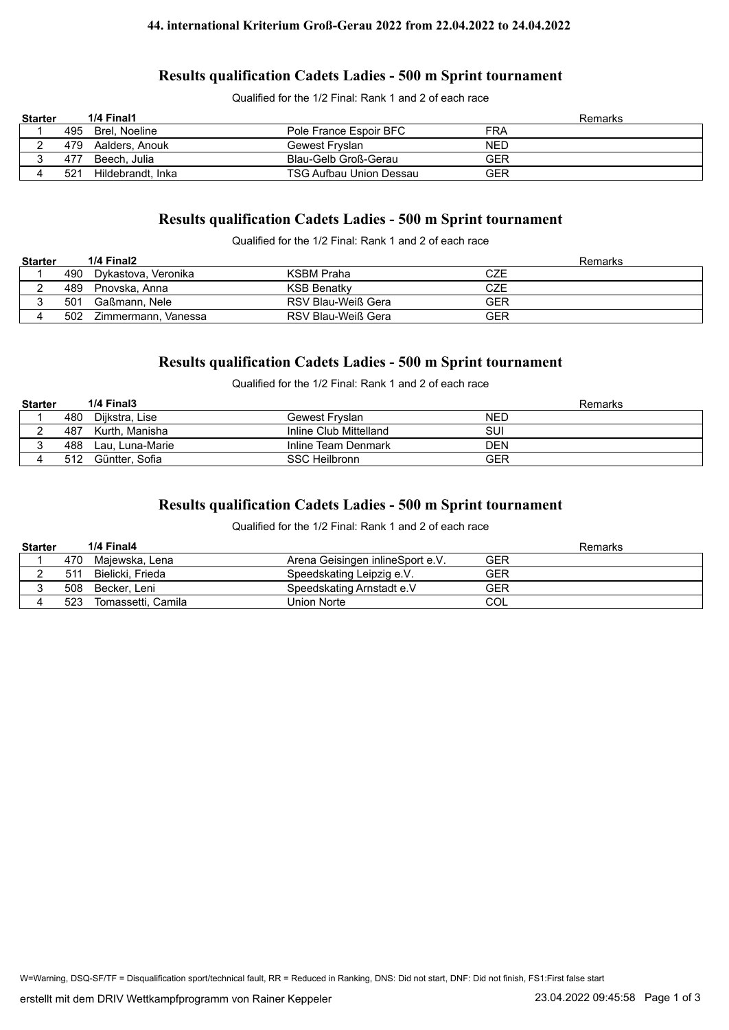#### **44. international Kriterium Groß-Gerau 2022 from 22.04.2022 to 24.04.2022**

### **Results qualification Cadets Ladies - 500 m Sprint tournament**

Qualified for the 1/2 Final: Rank 1 and 2 of each race

| <b>Starter</b> |     | 1/4 Final1        |                         |            | Remarks |
|----------------|-----|-------------------|-------------------------|------------|---------|
|                |     | 495 Brel, Noeline | Pole France Espoir BFC  | FRA        |         |
|                | 479 | Aalders. Anouk    | Gewest Fryslan          | <b>NED</b> |         |
| ັ              | 477 | Beech. Julia      | Blau-Gelb Groß-Gerau    | GER        |         |
|                | 521 | Hildebrandt, Inka | TSG Aufbau Union Dessau | GER        |         |

# **Results qualification Cadets Ladies - 500 m Sprint tournament**

Qualified for the 1/2 Final: Rank 1 and 2 of each race

| <b>Starter</b> |     | 1/4 Final2          |                    | Remarks |
|----------------|-----|---------------------|--------------------|---------|
|                | 490 | Dvkastova. Veronika | KSBM Praha         | CZE     |
|                | 489 | Pnovska. Anna       | <b>KSB Benatky</b> | CZE     |
|                | 501 | Gaßmann. Nele       | RSV Blau-Weiß Gera | GER     |
|                | 502 | Zimmermann, Vanessa | RSV Blau-Weiß Gera | GER     |

## **Results qualification Cadets Ladies - 500 m Sprint tournament**

Qualified for the 1/2 Final: Rank 1 and 2 of each race

| <b>Starter</b> |     | 1/4 Final3      |                        | Remarks    |
|----------------|-----|-----------------|------------------------|------------|
|                | 480 | Diikstra. Lise  | Gewest Frvslan         | <b>NED</b> |
|                | 487 | Kurth. Manisha  | Inline Club Mittelland | SUI        |
|                | 488 | Lau, Luna-Marie | Inline Team Denmark    | <b>DEN</b> |
|                | 512 | Güntter. Sofia  | <b>SSC Heilbronn</b>   | GER        |

## **Results qualification Cadets Ladies - 500 m Sprint tournament**

Qualified for the 1/2 Final: Rank 1 and 2 of each race

| <b>Starter</b> |     | 1/4 Final4         |                                  | Remarks |
|----------------|-----|--------------------|----------------------------------|---------|
|                | 470 | Majewska, Lena     | Arena Geisingen inlineSport e.V. | GER     |
|                | 511 | Bielicki. Frieda   | Speedskating Leipzig e.V.        | GER     |
|                |     | 508 Becker, Leni   | Speedskating Arnstadt e.V        | GER     |
|                | 523 | Tomassetti, Camila | Union Norte                      | COL     |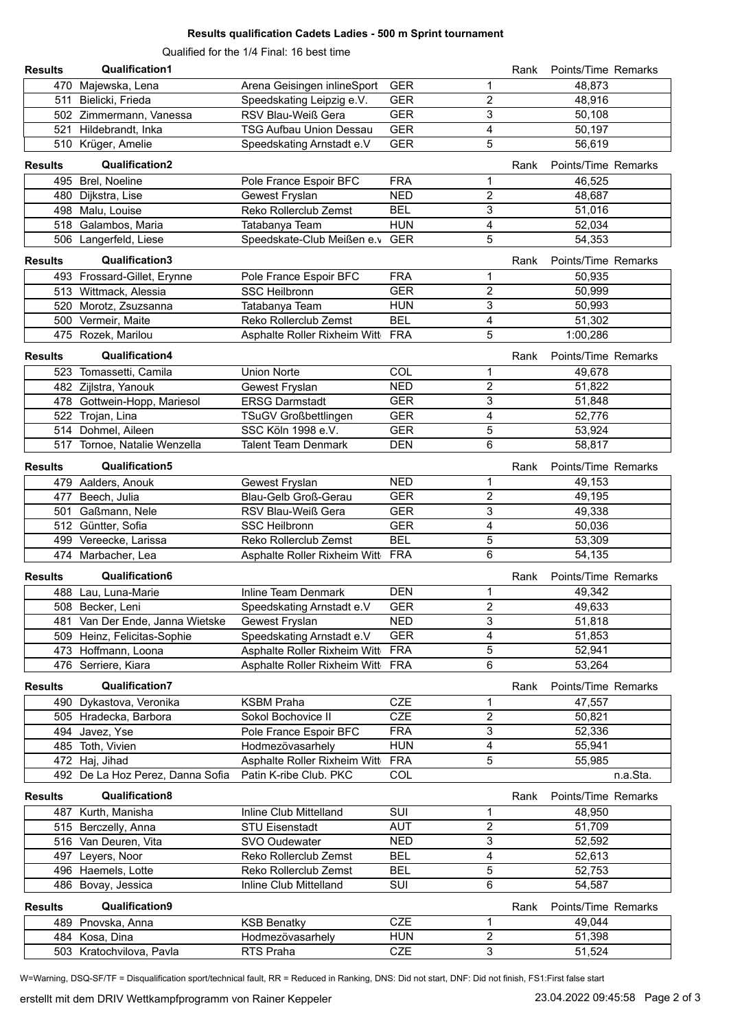### **Results qualification Cadets Ladies - 500 m Sprint tournament**

Qualified for the 1/4 Final: 16 best time

| <b>Results</b> | <b>Qualification1</b>                      |                                  |                   |                         | Rank | Points/Time Remarks |          |
|----------------|--------------------------------------------|----------------------------------|-------------------|-------------------------|------|---------------------|----------|
|                | 470 Majewska, Lena                         | Arena Geisingen inlineSport      | <b>GER</b>        | 1                       |      | 48,873              |          |
|                | 511 Bielicki, Frieda                       | Speedskating Leipzig e.V.        | <b>GER</b>        | $\overline{c}$          |      | 48,916              |          |
|                | 502 Zimmermann, Vanessa                    | RSV Blau-Weiß Gera               | <b>GER</b>        | 3                       |      | 50,108              |          |
|                | 521 Hildebrandt, Inka                      | <b>TSG Aufbau Union Dessau</b>   | <b>GER</b>        | 4                       |      | 50,197              |          |
|                | 510 Krüger, Amelie                         | Speedskating Arnstadt e.V        | <b>GER</b>        | 5                       |      | 56,619              |          |
|                |                                            |                                  |                   |                         |      |                     |          |
| <b>Results</b> | <b>Qualification2</b>                      |                                  |                   |                         | Rank | Points/Time Remarks |          |
|                | 495 Brel, Noeline                          | Pole France Espoir BFC           | <b>FRA</b>        | 1                       |      | 46,525              |          |
|                | 480 Dijkstra, Lise                         | Gewest Fryslan                   | <b>NED</b>        | $\overline{2}$          |      | 48,687              |          |
|                | 498 Malu, Louise                           | Reko Rollerclub Zemst            | <b>BEL</b>        | 3                       |      | 51,016              |          |
|                | 518 Galambos, Maria                        | Tatabanya Team                   | <b>HUN</b>        | 4                       |      | 52,034              |          |
|                | 506 Langerfeld, Liese                      | Speedskate-Club Meißen e.v       | <b>GER</b>        | 5                       |      | 54,353              |          |
| <b>Results</b> | Qualification3                             |                                  |                   |                         | Rank | Points/Time Remarks |          |
|                | 493 Frossard-Gillet, Erynne                | Pole France Espoir BFC           | <b>FRA</b>        | 1                       |      | 50,935              |          |
|                | 513 Wittmack, Alessia                      | <b>SSC Heilbronn</b>             | <b>GER</b>        | $\overline{c}$          |      | 50,999              |          |
|                | 520 Morotz, Zsuzsanna                      | Tatabanya Team                   | <b>HUN</b>        | 3                       |      | 50,993              |          |
|                | 500 Vermeir, Maite                         | Reko Rollerclub Zemst            | <b>BEL</b>        | 4                       |      | 51,302              |          |
|                | 475 Rozek, Marilou                         | Asphalte Roller Rixheim Witt     | <b>FRA</b>        | 5                       |      | 1:00,286            |          |
|                |                                            |                                  |                   |                         |      |                     |          |
| <b>Results</b> | <b>Qualification4</b>                      |                                  |                   |                         | Rank | Points/Time Remarks |          |
|                | 523 Tomassetti, Camila                     | <b>Union Norte</b>               | COL               | 1                       |      | 49,678              |          |
|                | 482 Zijlstra, Yanouk                       | Gewest Fryslan                   | <b>NED</b>        | $\overline{2}$          |      | 51,822              |          |
|                | 478 Gottwein-Hopp, Mariesol                | <b>ERSG Darmstadt</b>            | <b>GER</b>        | 3                       |      | 51,848              |          |
|                | 522 Trojan, Lina                           | TSuGV Großbettlingen             | <b>GER</b>        | 4                       |      | 52,776              |          |
|                | 514 Dohmel, Aileen                         | SSC Köln 1998 e.V.               | <b>GER</b>        | 5                       |      | 53,924              |          |
|                | 517 Tornoe, Natalie Wenzella               | <b>Talent Team Denmark</b>       | <b>DEN</b>        | 6                       |      | 58,817              |          |
| <b>Results</b> | <b>Qualification5</b>                      |                                  |                   |                         | Rank | Points/Time Remarks |          |
|                | 479 Aalders, Anouk                         | Gewest Fryslan                   | <b>NED</b>        | 1                       |      | 49,153              |          |
|                | 477 Beech, Julia                           | Blau-Gelb Groß-Gerau             | <b>GER</b>        | $\overline{c}$          |      | 49,195              |          |
|                | 501 Gaßmann, Nele                          | RSV Blau-Weiß Gera               | <b>GER</b>        | 3                       |      | 49,338              |          |
|                | 512 Güntter, Sofia                         | <b>SSC Heilbronn</b>             | <b>GER</b>        | 4                       |      | 50,036              |          |
|                | 499 Vereecke, Larissa                      | Reko Rollerclub Zemst            | <b>BEL</b>        | 5                       |      | 53,309              |          |
|                | 474 Marbacher, Lea                         | Asphalte Roller Rixheim Witt     | <b>FRA</b>        | 6                       |      | 54,135              |          |
|                |                                            |                                  |                   |                         |      |                     |          |
| <b>Results</b> | Qualification6                             |                                  |                   |                         | Rank | Points/Time Remarks |          |
|                | 488 Lau, Luna-Marie                        | <b>Inline Team Denmark</b>       | <b>DEN</b>        | 1                       |      | 49,342              |          |
|                | 508 Becker, Leni                           | Speedskating Arnstadt e.V        | <b>GER</b>        | $\overline{2}$          |      | 49,633              |          |
|                | 481 Van Der Ende, Janna Wietske            | Gewest Fryslan                   | <b>NED</b>        | 3                       |      | 51,818              |          |
|                | 509 Heinz, Felicitas-Sophie                | Speedskating Arnstadt e.V        | <b>GER</b>        | 4                       |      | 51,853              |          |
|                | 473 Hoffmann, Loona                        | Asphalte Roller Rixheim Witt     | <b>FRA</b>        | 5                       |      | 52,941              |          |
|                | 476 Serriere, Kiara                        | Asphalte Roller Rixheim Witt FRA |                   | 6                       |      | 53,264              |          |
| <b>Results</b> | <b>Qualification7</b>                      |                                  |                   |                         | Rank | Points/Time Remarks |          |
|                | 490 Dykastova, Veronika                    | <b>KSBM Praha</b>                | <b>CZE</b>        | 1                       |      | 47,557              |          |
|                | 505 Hradecka, Barbora                      | Sokol Bochovice II               | <b>CZE</b>        | $\overline{\mathbf{c}}$ |      | 50,821              |          |
|                | 494 Javez, Yse                             | Pole France Espoir BFC           | <b>FRA</b>        | 3                       |      | 52,336              |          |
|                | 485 Toth, Vivien                           | Hodmezövasarhely                 | <b>HUN</b>        | 4                       |      | 55,941              |          |
|                | 472 Haj, Jihad                             | Asphalte Roller Rixheim Witt     | <b>FRA</b>        | 5                       |      | 55,985              |          |
|                | 492 De La Hoz Perez, Danna Sofia           | Patin K-ribe Club. PKC           | COL               |                         |      |                     | n.a.Sta. |
|                |                                            |                                  |                   |                         |      |                     |          |
| <b>Results</b> | Qualification8                             |                                  |                   |                         | Rank | Points/Time Remarks |          |
| 487            | Kurth, Manisha                             | Inline Club Mittelland           | SUI               | 1                       |      | 48,950              |          |
|                | 515 Berczelly, Anna                        | <b>STU Eisenstadt</b>            | <b>AUT</b>        | $\overline{c}$          |      | 51,709              |          |
|                | 516 Van Deuren, Vita                       | SVO Oudewater                    | <b>NED</b>        | 3                       |      | 52,592              |          |
|                | 497 Leyers, Noor                           | Reko Rollerclub Zemst            | <b>BEL</b>        | 4                       |      | 52,613              |          |
|                | 496 Haemels, Lotte                         | Reko Rollerclub Zemst            | <b>BEL</b>        | 5                       |      | 52,753              |          |
|                | 486 Bovay, Jessica                         | Inline Club Mittelland           | SUI               | 6                       |      | 54,587              |          |
| <b>Results</b> | Qualification9                             |                                  |                   |                         | Rank | Points/Time Remarks |          |
|                |                                            | <b>KSB Benatky</b>               | <b>CZE</b>        | 1                       |      | 49,044              |          |
|                | 489 Pnovska, Anna                          |                                  |                   |                         |      |                     |          |
|                | 484 Kosa, Dina<br>503 Kratochvilova, Pavla | Hodmezövasarhely<br>RTS Praha    | <b>HUN</b><br>CZE | 2<br>3                  |      | 51,398              |          |
|                |                                            |                                  |                   |                         |      | 51,524              |          |

W=Warning, DSQ-SF/TF = Disqualification sport/technical fault, RR = Reduced in Ranking, DNS: Did not start, DNF: Did not finish, FS1:First false start